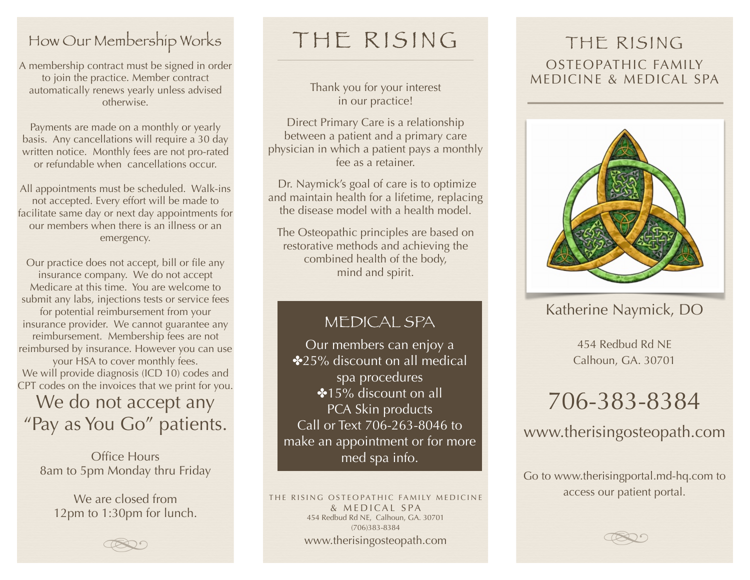### How Our Membership Works

A membership contract must be signed in order to join the practice. Member contract automatically renews yearly unless advised otherwise.

Payments are made on a monthly or yearly basis. Any cancellations will require a 30 day written notice. Monthly fees are not pro-rated or refundable when cancellations occur.

All appointments must be scheduled. Walk-ins not accepted. Every effort will be made to facilitate same day or next day appointments for our members when there is an illness or an emergency.

Our practice does not accept, bill or file any insurance company. We do not accept Medicare at this time. You are welcome to submit any labs, injections tests or service fees for potential reimbursement from your insurance provider. We cannot guarantee any reimbursement. Membership fees are not reimbursed by insurance. However you can use your HSA to cover monthly fees. We will provide diagnosis (ICD 10) codes and CPT codes on the invoices that we print for you.

We do not accept any "Pay as You Go" patients.

Office Hours 8am to 5pm Monday thru Friday

We are closed from 12pm to 1:30pm for lunch.

## THE RISING

Thank you for your interest in our practice!

Direct Primary Care is a relationship between a patient and a primary care physician in which a patient pays a monthly fee as a retainer.

 Dr. Naymick's goal of care is to optimize and maintain health for a lifetime, replacing the disease model with a health model.

The Osteopathic principles are based on restorative methods and achieving the combined health of the body, mind and spirit.

#### MEDICAL SPA

Our members can enjoy a ✤25% discount on all medical spa procedures ∙15% discount on all PCA Skin products Call or Text 706-263-8046 to make an appointment or for more med spa info.

THE RISING OSTEOPATHIC FAMILY MEDICINE & MEDICAL SPA 454 Redbud Rd NE, Calhoun, GA. 30701 (706)383-8384 www.therisingosteopath.com

#### THE RISING OSTEOPATHIC FAMILY MEDICINE & MEDICAL SPA



Katherine Naymick, DO

454 Redbud Rd NE Calhoun, GA. 30701

# 706-383-8384

[www.therisingosteopath.com](http://www.therisingosteopath.com)

Go to [www.therisingportal.md-hq.com](http://www.therisingportal.md-hq.com) to access our patient portal.